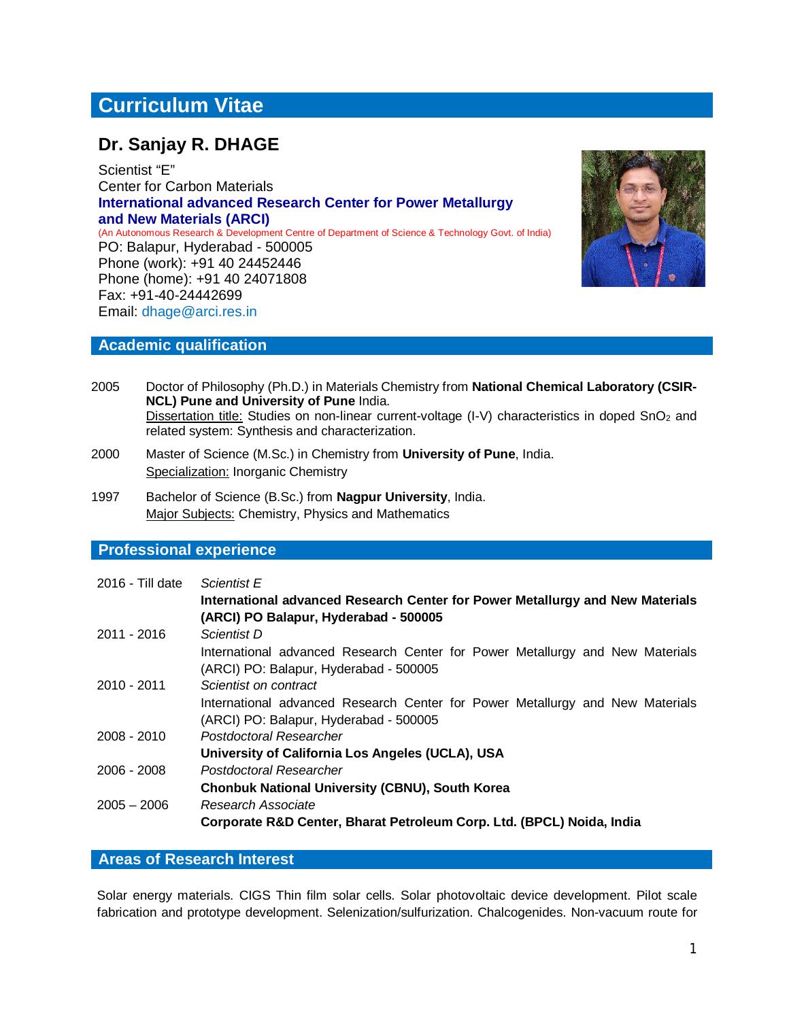# **Curriculum Vitae**

## **Dr. Sanjay R. DHAGE**

Scientist "E" Center for Carbon Materials **International advanced Research Center for Power Metallurgy and New Materials (ARCI)**  (An Autonomous Research & Development Centre of Department of Science & Technology Govt. of India) PO: Balapur, Hyderabad - 500005 Phone (work): +91 40 24452446 Phone (home): +91 40 24071808 Fax: +91-40-24442699 Email: dhage@arci.res.in



#### **Academic qualification**

- 2005 Doctor of Philosophy (Ph.D.) in Materials Chemistry from **National Chemical Laboratory (CSIR-NCL) Pune and University of Pune** India. Dissertation title: Studies on non-linear current-voltage (I-V) characteristics in doped SnO<sub>2</sub> and related system: Synthesis and characterization.
- 2000 Master of Science (M.Sc.) in Chemistry from **University of Pune**, India. Specialization: Inorganic Chemistry
- 1997 Bachelor of Science (B.Sc.) from **Nagpur University**, India. **Major Subjects: Chemistry, Physics and Mathematics**

## **Professional experience**

| $2016 -$ Till date | Scientist E<br>International advanced Research Center for Power Metallurgy and New Materials<br>(ARCI) PO Balapur, Hyderabad - 500005 |
|--------------------|---------------------------------------------------------------------------------------------------------------------------------------|
| $2011 - 2016$      | <i>Scientist D</i>                                                                                                                    |
|                    | International advanced Research Center for Power Metallurgy and New Materials<br>(ARCI) PO: Balapur, Hyderabad - 500005               |
| 2010 - 2011        | Scientist on contract                                                                                                                 |
|                    | International advanced Research Center for Power Metallurgy and New Materials<br>(ARCI) PO: Balapur, Hyderabad - 500005               |
| $2008 - 2010$      | Postdoctoral Researcher                                                                                                               |
|                    | University of California Los Angeles (UCLA), USA                                                                                      |
| $2006 - 2008$      | Postdoctoral Researcher                                                                                                               |
|                    | <b>Chonbuk National University (CBNU), South Korea</b>                                                                                |
| $2005 - 2006$      | Research Associate                                                                                                                    |
|                    | Corporate R&D Center, Bharat Petroleum Corp. Ltd. (BPCL) Noida, India                                                                 |

## **Areas of Research Interest**

Solar energy materials. CIGS Thin film solar cells. Solar photovoltaic device development. Pilot scale fabrication and prototype development. Selenization/sulfurization. Chalcogenides. Non-vacuum route for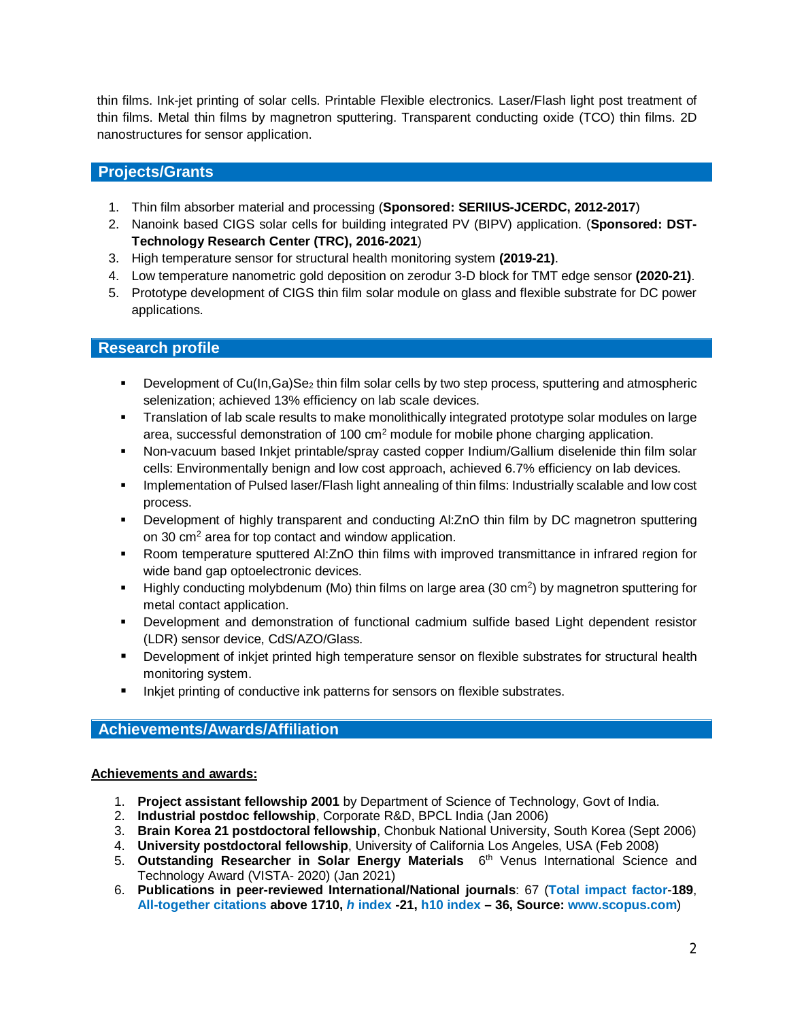thin films. Ink-jet printing of solar cells. Printable Flexible electronics. Laser/Flash light post treatment of thin films. Metal thin films by magnetron sputtering. Transparent conducting oxide (TCO) thin films. 2D nanostructures for sensor application.

## **Projects/Grants**

- 1. Thin film absorber material and processing (**Sponsored: SERIIUS-JCERDC, 2012-2017**)
- 2. Nanoink based CIGS solar cells for building integrated PV (BIPV) application. (**Sponsored: DST-Technology Research Center (TRC), 2016-2021**)
- 3. High temperature sensor for structural health monitoring system **(2019-21)**.
- 4. Low temperature nanometric gold deposition on zerodur 3-D block for TMT edge sensor **(2020-21)**.
- 5. Prototype development of CIGS thin film solar module on glass and flexible substrate for DC power applications.

## **Research profile**

- **•** Development of Cu(In,Ga)Se<sub>2</sub> thin film solar cells by two step process, sputtering and atmospheric selenization; achieved 13% efficiency on lab scale devices.
- Translation of lab scale results to make monolithically integrated prototype solar modules on large area, successful demonstration of  $100 \text{ cm}^2$  module for mobile phone charging application.
- Non-vacuum based Inkjet printable/spray casted copper Indium/Gallium diselenide thin film solar cells: Environmentally benign and low cost approach, achieved 6.7% efficiency on lab devices.
- **Implementation of Pulsed laser/Flash light annealing of thin films: Industrially scalable and low cost** process.
- Development of highly transparent and conducting Al:ZnO thin film by DC magnetron sputtering on 30 cm<sup>2</sup> area for top contact and window application.
- Room temperature sputtered Al:ZnO thin films with improved transmittance in infrared region for wide band gap optoelectronic devices.
- $\blacksquare$  Highly conducting molybdenum (Mo) thin films on large area (30 cm<sup>2</sup>) by magnetron sputtering for metal contact application.
- Development and demonstration of functional cadmium sulfide based Light dependent resistor (LDR) sensor device, CdS/AZO/Glass.
- Development of inkjet printed high temperature sensor on flexible substrates for structural health monitoring system.
- **Inkjet printing of conductive ink patterns for sensors on flexible substrates.**

## **Achievements/Awards/Affiliation**

#### **Achievements and awards:**

- 1. **Project assistant fellowship 2001** by Department of Science of Technology, Govt of India.
- 2. **Industrial postdoc fellowship**, Corporate R&D, BPCL India (Jan 2006)
- 3. **Brain Korea 21 postdoctoral fellowship**, Chonbuk National University, South Korea (Sept 2006)
- 4. **University postdoctoral fellowship**, University of California Los Angeles, USA (Feb 2008)
- 5. Outstanding Researcher in Solar Energy Materials 6<sup>th</sup> Venus International Science and Technology Award (VISTA- 2020) (Jan 2021)
- 6. **Publications in peer-reviewed International/National journals**: 67 (**Total impact factor**-**189**, **All-together citations above 1710,** *h* **index -21, h10 index – 36, Source: www.scopus.com**)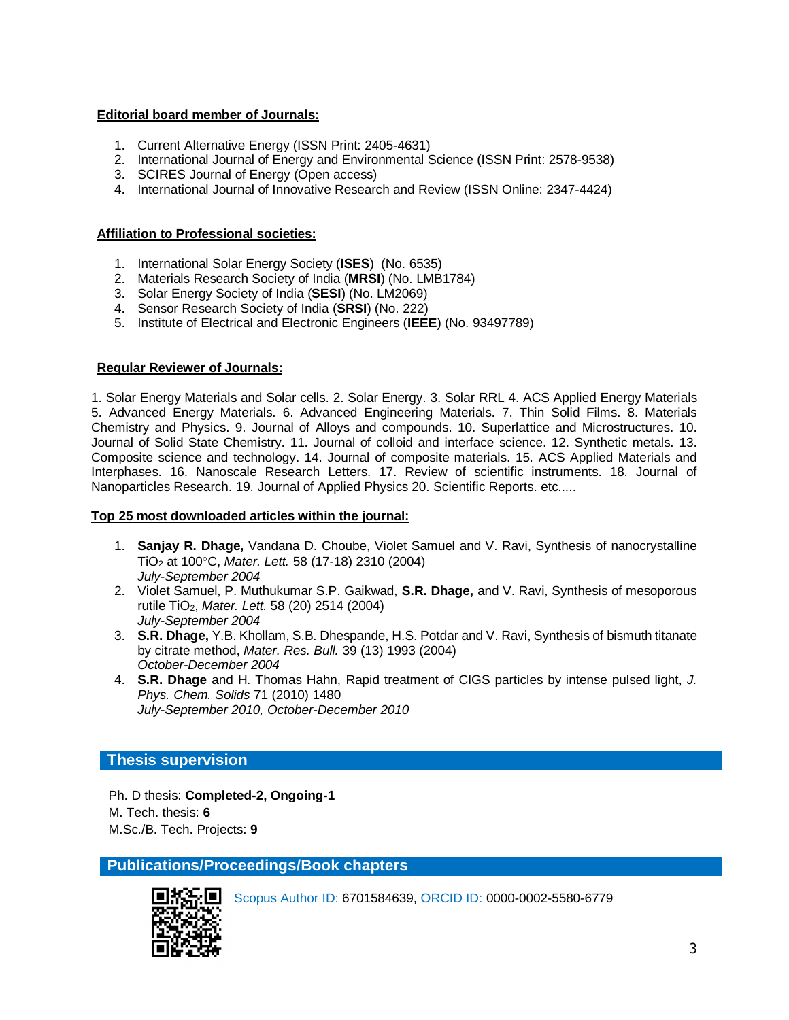#### **Editorial board member of Journals:**

- 1. Current Alternative Energy (ISSN Print: 2405-4631)
- 2. International Journal of Energy and Environmental Science (ISSN Print: 2578-9538)
- 3. SCIRES Journal of Energy (Open access)
- 4. International Journal of Innovative Research and Review (ISSN Online: 2347-4424)

#### **Affiliation to Professional societies:**

- 1. International Solar Energy Society (**ISES**) (No. 6535)
- 2. Materials Research Society of India (**MRSI**) (No. LMB1784)
- 3. Solar Energy Society of India (**SESI**) (No. LM2069)
- 4. Sensor Research Society of India (**SRSI**) (No. 222)
- 5. Institute of Electrical and Electronic Engineers (**IEEE**) (No. 93497789)

#### **Regular Reviewer of Journals:**

1. Solar Energy Materials and Solar cells. 2. Solar Energy. 3. Solar RRL 4. ACS Applied Energy Materials 5. Advanced Energy Materials. 6. Advanced Engineering Materials. 7. Thin Solid Films. 8. Materials Chemistry and Physics. 9. Journal of Alloys and compounds. 10. Superlattice and Microstructures. 10. Journal of Solid State Chemistry. 11. Journal of colloid and interface science. 12. Synthetic metals. 13. Composite science and technology. 14. Journal of composite materials. 15. ACS Applied Materials and Interphases. 16. Nanoscale Research Letters. 17. Review of scientific instruments. 18. Journal of Nanoparticles Research. 19. Journal of Applied Physics 20. Scientific Reports. etc.....

#### **Top 25 most downloaded articles within the journal:**

- 1. **Sanjay R. Dhage,** Vandana D. Choube, Violet Samuel and V. Ravi, Synthesis of nanocrystalline TiO<sup>2</sup> at 100C, *Mater. Lett.* 58 (17-18) 2310 (2004) *July-September 2004*
- 2. Violet Samuel, P. Muthukumar S.P. Gaikwad, **S.R. Dhage,** and V. Ravi, Synthesis of mesoporous rutile TiO2, *Mater. Lett.* 58 (20) 2514 (2004) *July-September 2004*
- 3. **S.R. Dhage,** Y.B. Khollam, S.B. Dhespande, H.S. Potdar and V. Ravi, Synthesis of bismuth titanate by citrate method, *Mater. Res. Bull.* 39 (13) 1993 (2004) *October-December 2004*
- 4. **S.R. Dhage** and H. Thomas Hahn, Rapid treatment of CIGS particles by intense pulsed light, *J. Phys. Chem. Solids* 71 (2010) 1480 *July-September 2010, October-December 2010*

## **Thesis supervision**

Ph. D thesis: **Completed-2, Ongoing-1** M. Tech. thesis: **6**  M.Sc./B. Tech. Projects: **9**

**Publications/Proceedings/Book chapters**



Scopus Author ID: 6701584639, ORCID ID: 0000-0002-5580-6779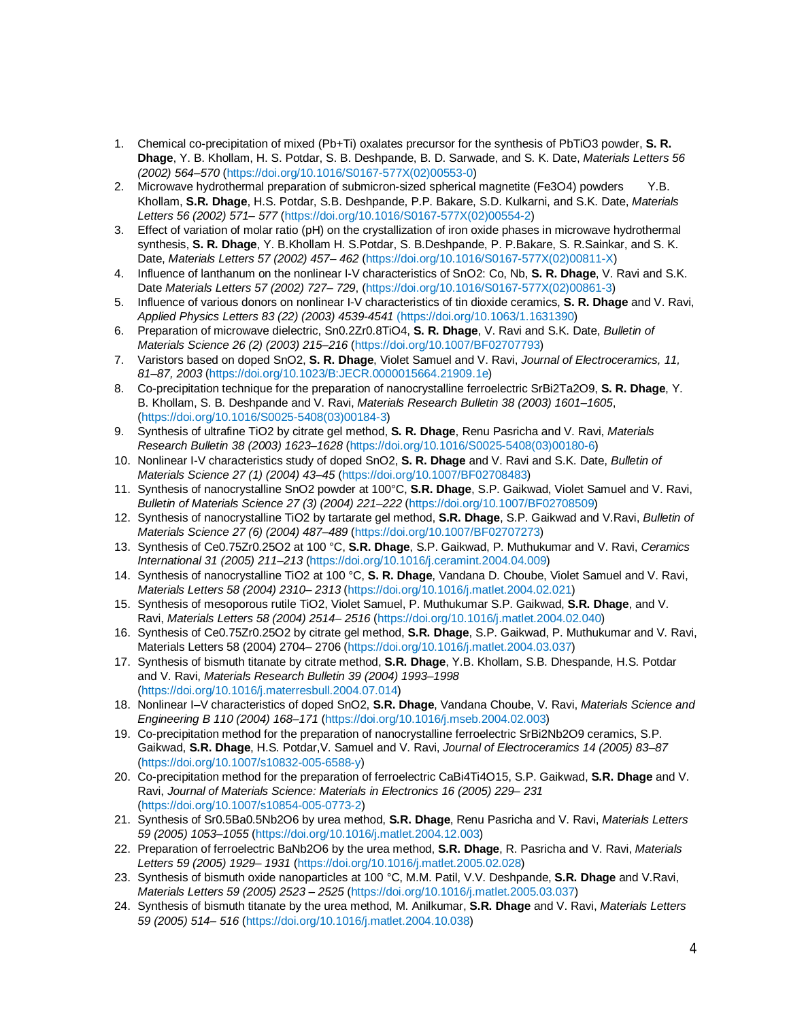- 1. Chemical co-precipitation of mixed (Pb+Ti) oxalates precursor for the synthesis of PbTiO3 powder, **S. R. Dhage**, Y. B. Khollam, H. S. Potdar, S. B. Deshpande, B. D. Sarwade, and S. K. Date, *Materials Letters 56 (2002) 564–570* (https://doi.org/10.1016/S0167-577X(02)00553-0)
- 2. Microwave hydrothermal preparation of submicron-sized spherical magnetite (Fe3O4) powders Y.B. Khollam, **S.R. Dhage**, H.S. Potdar, S.B. Deshpande, P.P. Bakare, S.D. Kulkarni, and S.K. Date, *Materials Letters 56 (2002) 571– 577* (https://doi.org/10.1016/S0167-577X(02)00554-2)
- 3. Effect of variation of molar ratio (pH) on the crystallization of iron oxide phases in microwave hydrothermal synthesis, **S. R. Dhage**, Y. B.Khollam H. S.Potdar, S. B.Deshpande, P. P.Bakare, S. R.Sainkar, and S. K. Date, *Materials Letters 57 (2002) 457– 462* (https://doi.org/10.1016/S0167-577X(02)00811-X)
- 4. Influence of lanthanum on the nonlinear I-V characteristics of SnO2: Co, Nb, **S. R. Dhage**, V. Ravi and S.K. Date *Materials Letters 57 (2002) 727– 729*, (https://doi.org/10.1016/S0167-577X(02)00861-3)
- 5. Influence of various donors on nonlinear I-V characteristics of tin dioxide ceramics, **S. R. Dhage** and V. Ravi, *Applied Physics Letters 83 (22) (2003) 4539-4541* (https://doi.org/10.1063/1.1631390)
- 6. Preparation of microwave dielectric, Sn0.2Zr0.8TiO4, **S. R. Dhage**, V. Ravi and S.K. Date, *Bulletin of Materials Science 26 (2) (2003) 215–216* (https://doi.org/10.1007/BF02707793)
- 7. Varistors based on doped SnO2, **S. R. Dhage**, Violet Samuel and V. Ravi, *Journal of Electroceramics, 11, 81–87, 2003* (https://doi.org/10.1023/B:JECR.0000015664.21909.1e)
- 8. Co-precipitation technique for the preparation of nanocrystalline ferroelectric SrBi2Ta2O9, **S. R. Dhage**, Y. B. Khollam, S. B. Deshpande and V. Ravi, *Materials Research Bulletin 38 (2003) 1601–1605*, (https://doi.org/10.1016/S0025-5408(03)00184-3)
- 9. Synthesis of ultrafine TiO2 by citrate gel method, **S. R. Dhage**, Renu Pasricha and V. Ravi, *Materials Research Bulletin 38 (2003) 1623–1628* (https://doi.org/10.1016/S0025-5408(03)00180-6)
- 10. Nonlinear I-V characteristics study of doped SnO2, **S. R. Dhage** and V. Ravi and S.K. Date, *Bulletin of Materials Science 27 (1) (2004) 43–45* (https://doi.org/10.1007/BF02708483)
- 11. Synthesis of nanocrystalline SnO2 powder at 100°C, **S.R. Dhage**, S.P. Gaikwad, Violet Samuel and V. Ravi, *Bulletin of Materials Science 27 (3) (2004) 221–222* (https://doi.org/10.1007/BF02708509)
- 12. Synthesis of nanocrystalline TiO2 by tartarate gel method, **S.R. Dhage**, S.P. Gaikwad and V.Ravi, *Bulletin of Materials Science 27 (6) (2004) 487–489* (https://doi.org/10.1007/BF02707273)
- 13. Synthesis of Ce0.75Zr0.25O2 at 100 °C, **S.R. Dhage**, S.P. Gaikwad, P. Muthukumar and V. Ravi, *Ceramics International 31 (2005) 211–213* (https://doi.org/10.1016/j.ceramint.2004.04.009)
- 14. Synthesis of nanocrystalline TiO2 at 100 °C, **S. R. Dhage**, Vandana D. Choube, Violet Samuel and V. Ravi, *Materials Letters 58 (2004) 2310– 2313* (https://doi.org/10.1016/j.matlet.2004.02.021)
- 15. Synthesis of mesoporous rutile TiO2, Violet Samuel, P. Muthukumar S.P. Gaikwad, **S.R. Dhage**, and V. Ravi, *Materials Letters 58 (2004) 2514– 2516* (https://doi.org/10.1016/j.matlet.2004.02.040)
- 16. Synthesis of Ce0.75Zr0.25O2 by citrate gel method, **S.R. Dhage**, S.P. Gaikwad, P. Muthukumar and V. Ravi, Materials Letters 58 (2004) 2704– 2706 (https://doi.org/10.1016/j.matlet.2004.03.037)
- 17. Synthesis of bismuth titanate by citrate method, **S.R. Dhage**, Y.B. Khollam, S.B. Dhespande, H.S. Potdar and V. Ravi, *Materials Research Bulletin 39 (2004) 1993–1998* (https://doi.org/10.1016/j.materresbull.2004.07.014)
- 18. Nonlinear I–V characteristics of doped SnO2, **S.R. Dhage**, Vandana Choube, V. Ravi, *Materials Science and Engineering B 110 (2004) 168–171* (https://doi.org/10.1016/j.mseb.2004.02.003)
- 19. Co-precipitation method for the preparation of nanocrystalline ferroelectric SrBi2Nb2O9 ceramics, S.P. Gaikwad, **S.R. Dhage**, H.S. Potdar,V. Samuel and V. Ravi, *Journal of Electroceramics 14 (2005) 83–87* (https://doi.org/10.1007/s10832-005-6588-y)
- 20. Co-precipitation method for the preparation of ferroelectric CaBi4Ti4O15, S.P. Gaikwad, **S.R. Dhage** and V. Ravi, *Journal of Materials Science: Materials in Electronics 16 (2005) 229– 231* (https://doi.org/10.1007/s10854-005-0773-2)
- 21. Synthesis of Sr0.5Ba0.5Nb2O6 by urea method, **S.R. Dhage**, Renu Pasricha and V. Ravi, *Materials Letters 59 (2005) 1053–1055* (https://doi.org/10.1016/j.matlet.2004.12.003)
- 22. Preparation of ferroelectric BaNb2O6 by the urea method, **S.R. Dhage**, R. Pasricha and V. Ravi, *Materials Letters 59 (2005) 1929– 1931* (https://doi.org/10.1016/j.matlet.2005.02.028)
- 23. Synthesis of bismuth oxide nanoparticles at 100 °C, M.M. Patil, V.V. Deshpande, **S.R. Dhage** and V.Ravi, *Materials Letters 59 (2005) 2523 – 2525* (https://doi.org/10.1016/j.matlet.2005.03.037)
- 24. Synthesis of bismuth titanate by the urea method, M. Anilkumar, **S.R. Dhage** and V. Ravi, *Materials Letters 59 (2005) 514– 516* (https://doi.org/10.1016/j.matlet.2004.10.038)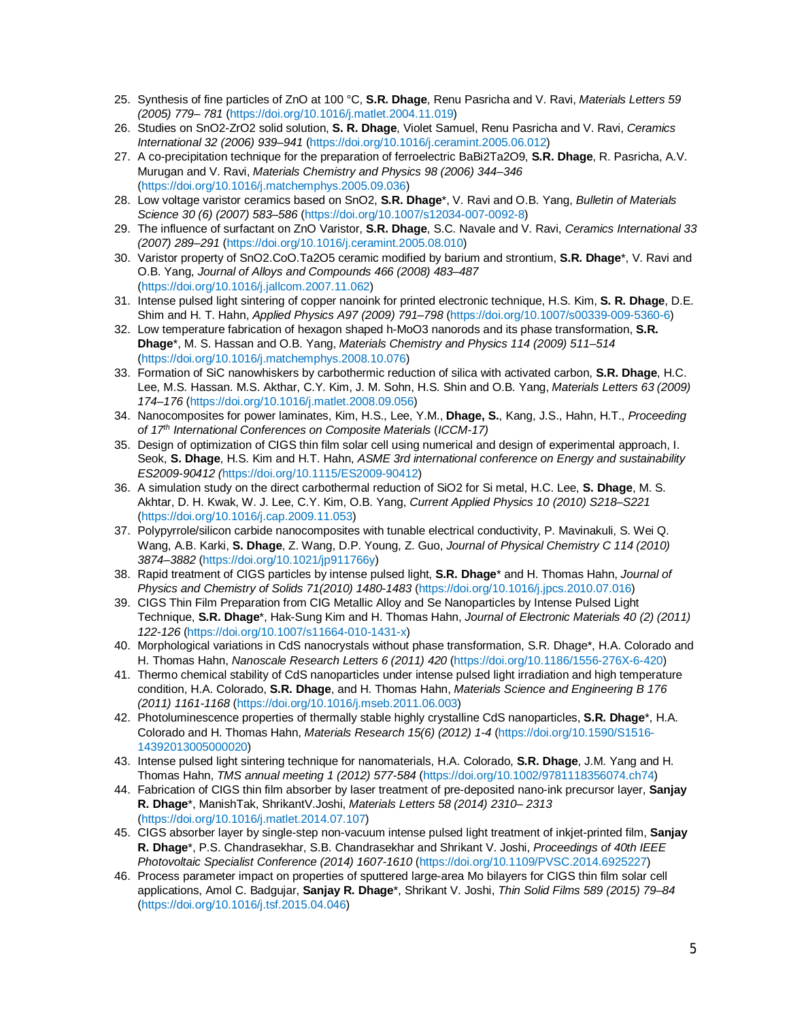- 25. Synthesis of fine particles of ZnO at 100 °C, **S.R. Dhage**, Renu Pasricha and V. Ravi, *Materials Letters 59 (2005) 779– 781* (https://doi.org/10.1016/j.matlet.2004.11.019)
- 26. Studies on SnO2-ZrO2 solid solution, **S. R. Dhage**, Violet Samuel, Renu Pasricha and V. Ravi, *Ceramics International 32 (2006) 939–941* (https://doi.org/10.1016/j.ceramint.2005.06.012)
- 27. A co-precipitation technique for the preparation of ferroelectric BaBi2Ta2O9, **S.R. Dhage**, R. Pasricha, A.V. Murugan and V. Ravi, *Materials Chemistry and Physics 98 (2006) 344–346* (https://doi.org/10.1016/j.matchemphys.2005.09.036)
- 28. Low voltage varistor ceramics based on SnO2, **S.R. Dhage**\*, V. Ravi and O.B. Yang, *Bulletin of Materials Science 30 (6) (2007) 583–586* (https://doi.org/10.1007/s12034-007-0092-8)
- 29. The influence of surfactant on ZnO Varistor, **S.R. Dhage**, S.C. Navale and V. Ravi, *Ceramics International 33 (2007) 289–291* (https://doi.org/10.1016/j.ceramint.2005.08.010)
- 30. Varistor property of SnO2.CoO.Ta2O5 ceramic modified by barium and strontium, **S.R. Dhage**\*, V. Ravi and O.B. Yang, *Journal of Alloys and Compounds 466 (2008) 483–487* (https://doi.org/10.1016/j.jallcom.2007.11.062)
- 31. Intense pulsed light sintering of copper nanoink for printed electronic technique, H.S. Kim, **S. R. Dhage**, D.E. Shim and H. T. Hahn, *Applied Physics A97 (2009) 791–798* (https://doi.org/10.1007/s00339-009-5360-6)
- 32. Low temperature fabrication of hexagon shaped h-MoO3 nanorods and its phase transformation, **S.R. Dhage**\*, M. S. Hassan and O.B. Yang, *Materials Chemistry and Physics 114 (2009) 511–514* (https://doi.org/10.1016/j.matchemphys.2008.10.076)
- 33. Formation of SiC nanowhiskers by carbothermic reduction of silica with activated carbon, **S.R. Dhage**, H.C. Lee, M.S. Hassan. M.S. Akthar, C.Y. Kim, J. M. Sohn, H.S. Shin and O.B. Yang, *Materials Letters 63 (2009) 174–176* (https://doi.org/10.1016/j.matlet.2008.09.056)
- 34. Nanocomposites for power laminates, Kim, H.S., Lee, Y.M., **Dhage, S.**, Kang, J.S., Hahn, H.T., *Proceeding of 17th International Conferences on Composite Materials* (*ICCM-17)*
- 35. Design of optimization of CIGS thin film solar cell using numerical and design of experimental approach, I. Seok, **S. Dhage**, H.S. Kim and H.T. Hahn, *ASME 3rd international conference on Energy and sustainability ES2009-90412 (*https://doi.org/10.1115/ES2009-90412)
- 36. A simulation study on the direct carbothermal reduction of SiO2 for Si metal, H.C. Lee, **S. Dhage**, M. S. Akhtar, D. H. Kwak, W. J. Lee, C.Y. Kim, O.B. Yang, *Current Applied Physics 10 (2010) S218–S221* (https://doi.org/10.1016/j.cap.2009.11.053)
- 37. Polypyrrole/silicon carbide nanocomposites with tunable electrical conductivity, P. Mavinakuli, S. Wei Q. Wang, A.B. Karki, **S. Dhage**, Z. Wang, D.P. Young, Z. Guo, *Journal of Physical Chemistry C 114 (2010) 3874–3882* (https://doi.org/10.1021/jp911766y)
- 38. Rapid treatment of CIGS particles by intense pulsed light, **S.R. Dhage**\* and H. Thomas Hahn, *Journal of Physics and Chemistry of Solids 71(2010) 1480-1483* (https://doi.org/10.1016/j.jpcs.2010.07.016)
- 39. CIGS Thin Film Preparation from CIG Metallic Alloy and Se Nanoparticles by Intense Pulsed Light Technique, **S.R. Dhage**\*, Hak-Sung Kim and H. Thomas Hahn, *Journal of Electronic Materials 40 (2) (2011) 122-126* (https://doi.org/10.1007/s11664-010-1431-x)
- 40. Morphological variations in CdS nanocrystals without phase transformation, S.R. Dhage\*, H.A. Colorado and H. Thomas Hahn, *Nanoscale Research Letters 6 (2011) 420* (https://doi.org/10.1186/1556-276X-6-420)
- 41. Thermo chemical stability of CdS nanoparticles under intense pulsed light irradiation and high temperature condition, H.A. Colorado, **S.R. Dhage**, and H. Thomas Hahn, *Materials Science and Engineering B 176 (2011) 1161-1168* (https://doi.org/10.1016/j.mseb.2011.06.003)
- 42. Photoluminescence properties of thermally stable highly crystalline CdS nanoparticles, **S.R. Dhage**\*, H.A. Colorado and H. Thomas Hahn, *Materials Research 15(6) (2012) 1-4* (https://doi.org/10.1590/S1516- 14392013005000020)
- 43. Intense pulsed light sintering technique for nanomaterials, H.A. Colorado, **S.R. Dhage**, J.M. Yang and H. Thomas Hahn, *TMS annual meeting 1 (2012) 577-584* (https://doi.org/10.1002/9781118356074.ch74)
- 44. Fabrication of CIGS thin film absorber by laser treatment of pre-deposited nano-ink precursor layer, **Sanjay R. Dhage**\*, ManishTak, ShrikantV.Joshi, *Materials Letters 58 (2014) 2310– 2313* (https://doi.org/10.1016/j.matlet.2014.07.107)
- 45. CIGS absorber layer by single-step non-vacuum intense pulsed light treatment of inkjet-printed film, **Sanjay R. Dhage**\*, P.S. Chandrasekhar, S.B. Chandrasekhar and Shrikant V. Joshi, *Proceedings of 40th IEEE Photovoltaic Specialist Conference (2014) 1607-1610* (https://doi.org/10.1109/PVSC.2014.6925227)
- 46. Process parameter impact on properties of sputtered large-area Mo bilayers for CIGS thin film solar cell applications, Amol C. Badgujar, **Sanjay R. Dhage**\*, Shrikant V. Joshi, *Thin Solid Films 589 (2015) 79–84* (https://doi.org/10.1016/j.tsf.2015.04.046)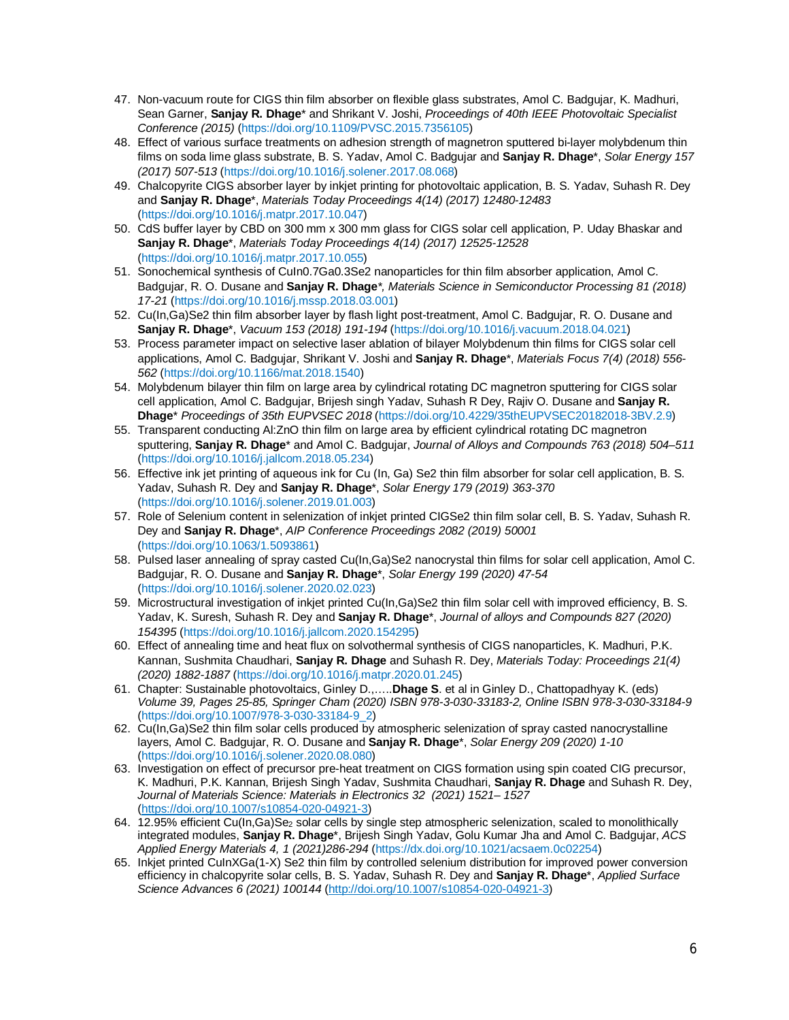- 47. Non-vacuum route for CIGS thin film absorber on flexible glass substrates, Amol C. Badgujar, K. Madhuri, Sean Garner, **Sanjay R. Dhage**\* and Shrikant V. Joshi, *Proceedings of 40th IEEE Photovoltaic Specialist Conference (2015)* (https://doi.org/10.1109/PVSC.2015.7356105)
- 48. Effect of various surface treatments on adhesion strength of magnetron sputtered bi-layer molybdenum thin films on soda lime glass substrate, B. S. Yadav, Amol C. Badgujar and **Sanjay R. Dhage**\*, *Solar Energy 157 (2017) 507-513* (https://doi.org/10.1016/j.solener.2017.08.068)
- 49. Chalcopyrite CIGS absorber layer by inkjet printing for photovoltaic application, B. S. Yadav, Suhash R. Dey and **Sanjay R. Dhage**\*, *Materials Today Proceedings 4(14) (2017) 12480-12483* (https://doi.org/10.1016/j.matpr.2017.10.047)
- 50. CdS buffer layer by CBD on 300 mm x 300 mm glass for CIGS solar cell application, P. Uday Bhaskar and **Sanjay R. Dhage**\*, *Materials Today Proceedings 4(14) (2017) 12525-12528* (https://doi.org/10.1016/j.matpr.2017.10.055)
- 51. Sonochemical synthesis of CuIn0.7Ga0.3Se2 nanoparticles for thin film absorber application, Amol C. Badgujar, R. O. Dusane and **Sanjay R. Dhage***\*, Materials Science in Semiconductor Processing 81 (2018) 17-21* (https://doi.org/10.1016/j.mssp.2018.03.001)
- 52. Cu(In,Ga)Se2 thin film absorber layer by flash light post-treatment, Amol C. Badgujar, R. O. Dusane and **Sanjay R. Dhage**\*, *Vacuum 153 (2018) 191-194* (https://doi.org/10.1016/j.vacuum.2018.04.021)
- 53. Process parameter impact on selective laser ablation of bilayer Molybdenum thin films for CIGS solar cell applications, Amol C. Badgujar, Shrikant V. Joshi and **Sanjay R. Dhage**\*, *Materials Focus 7(4) (2018) 556- 562* (https://doi.org/10.1166/mat.2018.1540)
- 54. Molybdenum bilayer thin film on large area by cylindrical rotating DC magnetron sputtering for CIGS solar cell application, Amol C. Badgujar, Brijesh singh Yadav, Suhash R Dey, Rajiv O. Dusane and **Sanjay R. Dhage**\* *Proceedings of 35th EUPVSEC 2018* (https://doi.org/10.4229/35thEUPVSEC20182018-3BV.2.9)
- 55. Transparent conducting Al:ZnO thin film on large area by efficient cylindrical rotating DC magnetron sputtering, **Sanjay R. Dhage**\* and Amol C. Badgujar, *Journal of Alloys and Compounds 763 (2018) 504–511* (https://doi.org/10.1016/j.jallcom.2018.05.234)
- 56. Effective ink jet printing of aqueous ink for Cu (In, Ga) Se2 thin film absorber for solar cell application, B. S. Yadav, Suhash R. Dey and **Sanjay R. Dhage**\*, *Solar Energy 179 (2019) 363-370* (https://doi.org/10.1016/j.solener.2019.01.003)
- 57. Role of Selenium content in selenization of inkjet printed CIGSe2 thin film solar cell, B. S. Yadav, Suhash R. Dey and **Sanjay R. Dhage**\*, *AIP Conference Proceedings 2082 (2019) 50001* (https://doi.org/10.1063/1.5093861)
- 58. Pulsed laser annealing of spray casted Cu(In,Ga)Se2 nanocrystal thin films for solar cell application, Amol C. Badgujar, R. O. Dusane and **Sanjay R. Dhage**\*, *Solar Energy 199 (2020) 47-54* (https://doi.org/10.1016/j.solener.2020.02.023)
- 59. Microstructural investigation of inkjet printed Cu(In,Ga)Se2 thin film solar cell with improved efficiency, B. S. Yadav, K. Suresh, Suhash R. Dey and **Sanjay R. Dhage**\*, *Journal of alloys and Compounds 827 (2020) 154395* (https://doi.org/10.1016/j.jallcom.2020.154295)
- 60. Effect of annealing time and heat flux on solvothermal synthesis of CIGS nanoparticles, K. Madhuri, P.K. Kannan, Sushmita Chaudhari, **Sanjay R. Dhage** and Suhash R. Dey, *Materials Today: Proceedings 21(4) (2020) 1882-1887* (https://doi.org/10.1016/j.matpr.2020.01.245)
- 61. Chapter: Sustainable photovoltaics, Ginley D.,…..**Dhage S**. et al in Ginley D., Chattopadhyay K. (eds) *Volume 39, Pages 25-85, Springer Cham (2020) ISBN 978-3-030-33183-2, Online ISBN 978-3-030-33184-9* (https://doi.org/10.1007/978-3-030-33184-9\_2)
- 62. Cu(In,Ga)Se2 thin film solar cells produced by atmospheric selenization of spray casted nanocrystalline layers, Amol C. Badgujar, R. O. Dusane and **Sanjay R. Dhage**\*, *Solar Energy 209 (2020) 1-10*  (https://doi.org/10.1016/j.solener.2020.08.080)
- 63. Investigation on effect of precursor pre-heat treatment on CIGS formation using spin coated CIG precursor, K. Madhuri, P.K. Kannan, Brijesh Singh Yadav, Sushmita Chaudhari, **Sanjay R. Dhage** and Suhash R. Dey, *Journal of Materials Science: Materials in Electronics 32 (2021) 1521– 1527* (https://doi.org/10.1007/s10854-020-04921-3)
- 64. 12.95% efficient Cu(In,Ga)Se<sub>2</sub> solar cells by single step atmospheric selenization, scaled to monolithically integrated modules, **Sanjay R. Dhage**\*, Brijesh Singh Yadav, Golu Kumar Jha and Amol C. Badgujar, *ACS Applied Energy Materials 4, 1 (2021)286-294* (https://dx.doi.org/10.1021/acsaem.0c02254)
- 65. Inkjet printed CuInXGa(1-X) Se2 thin film by controlled selenium distribution for improved power conversion efficiency in chalcopyrite solar cells, B. S. Yadav, Suhash R. Dey and **Sanjay R. Dhage**\*, *Applied Surface Science Advances 6 (2021) 100144* (http://doi.org/10.1007/s10854-020-04921-3)